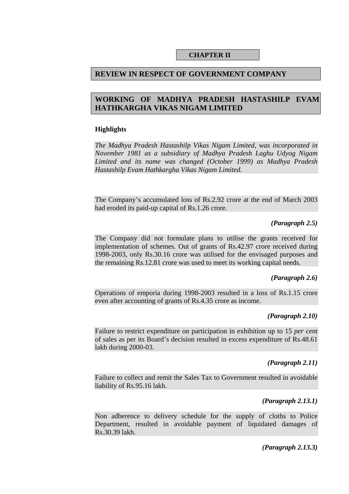## **CHAPTER II**

# **REVIEW IN RESPECT OF GOVERNMENT COMPANY**

# **WORKING OF MADHYA PRADESH HASTASHILP EVAM HATHKARGHA VIKAS NIGAM LIMITED**

## **Highlights**

*The Madhya Pradesh Hastashilp Vikas Nigam Limited, was incorporated in November 1981 as a subsidiary of Madhya Pradesh Laghu Udyog Nigam Limited and its name was changed (October 1999) as Madhya Pradesh Hastashilp Evam Hathkargha Vikas Nigam Limited.* 

The Company's accumulated loss of Rs.2.92 crore at the end of March 2003 had eroded its paid-up capital of Rs.1.26 crore.

### *(Paragraph 2.5)*

The Company did not formulate plans to utilise the grants received for implementation of schemes. Out of grants of Rs.42.97 crore received during 1998-2003, only Rs.30.16 crore was utilised for the envisaged purposes and the remaining Rs.12.81 crore was used to meet its working capital needs.

# *(Paragraph 2.6)*

Operations of emporia during 1998-2003 resulted in a loss of Rs.1.15 crore even after accounting of grants of Rs.4.35 crore as income.

# *(Paragraph 2.10)*

Failure to restrict expenditure on participation in exhibition up to 15 *per cent*  of sales as per its Board's decision resulted in excess expenditure of Rs.48.61 lakh during 2000-03.

# *(Paragraph 2.11)*

Failure to collect and remit the Sales Tax to Government resulted in avoidable liability of Rs.95.16 lakh.

# *(Paragraph 2.13.1)*

Non adherence to delivery schedule for the supply of cloths to Police Department, resulted in avoidable payment of liquidated damages of Rs.30.39 lakh.

### *(Paragraph 2.13.3)*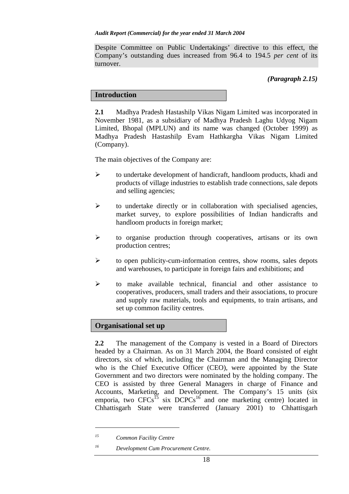Despite Committee on Public Undertakings' directive to this effect, the Company's outstanding dues increased from 96.4 to 194.5 *per cent* of its turnover.

# *(Paragraph 2.15)*

# **Introduction**

**2.1** Madhya Pradesh Hastashilp Vikas Nigam Limited was incorporated in November 1981, as a subsidiary of Madhya Pradesh Laghu Udyog Nigam Limited, Bhopal (MPLUN) and its name was changed (October 1999) as Madhya Pradesh Hastashilp Evam Hathkargha Vikas Nigam Limited (Company).

The main objectives of the Company are:

- ¾ to undertake development of handicraft, handloom products, khadi and products of village industries to establish trade connections, sale depots and selling agencies;
- $\triangleright$  to undertake directly or in collaboration with specialised agencies, market survey, to explore possibilities of Indian handicrafts and handloom products in foreign market;
- ¾ to organise production through cooperatives, artisans or its own production centres;
- ¾ to open publicity-cum-information centres, show rooms, sales depots and warehouses, to participate in foreign fairs and exhibitions; and
- ¾ to make available technical, financial and other assistance to cooperatives, producers, small traders and their associations, to procure and supply raw materials, tools and equipments, to train artisans, and set up common facility centres.

# **Organisational set up**

**2.2** The management of the Company is vested in a Board of Directors headed by a Chairman. As on 31 March 2004, the Board consisted of eight directors, six of which, including the Chairman and the Managing Director who is the Chief Executive Officer (CEO), were appointed by the State Government and two directors were nominated by the holding company. The CEO is assisted by three General Managers in charge of Finance and Accounts, Marketing, and Development. The Company's 15 units (six emporia, two  $CFCs^{15}$  six  $DCPCs^{16}$  and one marketing centre) located in Chhattisgarh State were transferred (January 2001) to Chhattisgarh

 $\overline{a}$ 

*<sup>15</sup> Common Facility Centre* 

*<sup>16</sup> Development Cum Procurement Centre.*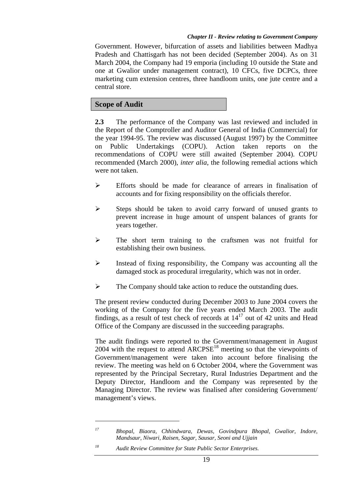Government. However, bifurcation of assets and liabilities between Madhya Pradesh and Chattisgarh has not been decided (September 2004). As on 31 March 2004, the Company had 19 emporia (including 10 outside the State and one at Gwalior under management contract), 10 CFCs, five DCPCs, three marketing cum extension centres, three handloom units, one jute centre and a central store.

# **Scope of Audit**

 $\overline{a}$ 

**2.3** The performance of the Company was last reviewed and included in the Report of the Comptroller and Auditor General of India (Commercial) for the year 1994-95. The review was discussed (August 1997) by the Committee on Public Undertakings (COPU). Action taken reports on the recommendations of COPU were still awaited (September 2004). COPU recommended (March 2000), *inter alia*, the following remedial actions which were not taken.

- $\triangleright$  Efforts should be made for clearance of arrears in finalisation of accounts and for fixing responsibility on the officials therefor.
- $\triangleright$  Steps should be taken to avoid carry forward of unused grants to prevent increase in huge amount of unspent balances of grants for years together.
- ¾ The short term training to the craftsmen was not fruitful for establishing their own business.
- ¾ Instead of fixing responsibility, the Company was accounting all the damaged stock as procedural irregularity, which was not in order.
- ¾ The Company should take action to reduce the outstanding dues.

The present review conducted during December 2003 to June 2004 covers the working of the Company for the five years ended March 2003. The audit findings, as a result of test check of records at  $14^{17}$  out of 42 units and Head Office of the Company are discussed in the succeeding paragraphs.

The audit findings were reported to the Government/management in August 2004 with the request to attend  $ARCPSE<sup>18</sup>$  meeting so that the viewpoints of Government/management were taken into account before finalising the review. The meeting was held on 6 October 2004, where the Government was represented by the Principal Secretary, Rural Industries Department and the Deputy Director, Handloom and the Company was represented by the Managing Director. The review was finalised after considering Government/ management's views.

*<sup>17</sup> Bhopal, Biaora, Chhindwara, Dewas, Govindpura Bhopal, Gwalior, Indore, Mandsaur, Niwari, Raisen, Sagar, Sausar, Seoni and Ujjain*

*<sup>18</sup> Audit Review Committee for State Public Sector Enterprises.*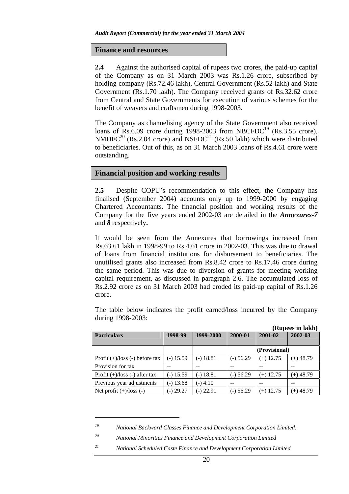### **Finance and resources**

**2.4** Against the authorised capital of rupees two crores, the paid-up capital of the Company as on 31 March 2003 was Rs.1.26 crore, subscribed by holding company (Rs.72.46 lakh), Central Government (Rs.52 lakh) and State Government (Rs.1.70 lakh). The Company received grants of Rs.32.62 crore from Central and State Governments for execution of various schemes for the benefit of weavers and craftsmen during 1998-2003.

The Company as channelising agency of the State Government also received loans of Rs.6.09 crore during 1998-2003 from NBCFDC<sup>19</sup> (Rs.3.55 crore),  $NMDEC<sup>20</sup>$  (Rs.2.04 crore) and  $NSFDC<sup>21</sup>$  (Rs.50 lakh) which were distributed to beneficiaries. Out of this, as on 31 March 2003 loans of Rs.4.61 crore were outstanding.

# **Financial position and working results**

**2.5** Despite COPU's recommendation to this effect, the Company has finalised (September 2004) accounts only up to 1999-2000 by engaging Chartered Accountants. The financial position and working results of the Company for the five years ended 2002-03 are detailed in the *Annexures-7* and *8* respectively**.**

It would be seen from the Annexures that borrowings increased from Rs.63.61 lakh in 1998-99 to Rs.4.61 crore in 2002-03. This was due to drawal of loans from financial institutions for disbursement to beneficiaries. The unutilised grants also increased from Rs.8.42 crore to Rs.17.46 crore during the same period. This was due to diversion of grants for meeting working capital requirement, as discussed in paragraph 2.6. The accumulated loss of Rs.2.92 crore as on 31 March 2003 had eroded its paid-up capital of Rs.1.26 crore.

The table below indicates the profit earned/loss incurred by the Company during 1998-2003:

|                                     |             |                      |             |               | $\frac{1}{2}$ |
|-------------------------------------|-------------|----------------------|-------------|---------------|---------------|
| <b>Particulars</b>                  | 1998-99     | 1999-2000<br>2000-01 |             | 2001-02       | 2002-03       |
|                                     |             |                      |             |               |               |
|                                     |             |                      |             | (Provisional) |               |
| Profit $(+)/$ loss $(-)$ before tax | $(-)$ 15.59 | $(-) 18.81$          | $(-)$ 56.29 | $(+)$ 12.75   | $(+)$ 48.79   |
| Provision for tax                   |             |                      | --          |               | --            |
| Profit $(+)/$ loss $(-)$ after tax  | $-$ ) 15.59 | $(-)$ 18.81          | $(-)$ 56.29 | $(+)$ 12.75   | $(+)$ 48.79   |
| Previous year adjustments           | $-$ ) 13.68 | $(-)$ 4.10           | --          |               |               |
| Net profit $(+)/$ loss $(-)$        | $-$ ) 29.27 | $(-)$ 22.91          | $(-)$ 56.29 | $(+)$ 12.75   | $(+)$ 48.79   |

#### **(Rupees in lakh)**

 $\overline{a}$ 

*<sup>19</sup> National Backward Classes Finance and Development Corporation Limited.* 

*<sup>20</sup> National Minorities Finance and Development Corporation Limited* 

*<sup>21</sup> National Scheduled Caste Finance and Development Corporation Limited*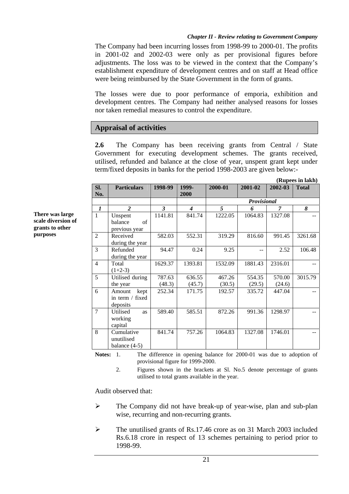The Company had been incurring losses from 1998-99 to 2000-01. The profits in 2001-02 and 2002-03 were only as per provisional figures before adjustments. The loss was to be viewed in the context that the Company's establishment expenditure of development centres and on staff at Head office were being reimbursed by the State Government in the form of grants.

The losses were due to poor performance of emporia, exhibition and development centres. The Company had neither analysed reasons for losses nor taken remedial measures to control the expenditure.

# **Appraisal of activities**

**2.6** The Company has been receiving grants from Central / State Government for executing development schemes. The grants received, utilised, refunded and balance at the close of year, unspent grant kept under term/fixed deposits in banks for the period 1998-2003 are given below:-

|                  |                       |              |                  | (Rupees in lakh) |             |         |              |  |  |
|------------------|-----------------------|--------------|------------------|------------------|-------------|---------|--------------|--|--|
| Sl.<br>No.       | <b>Particulars</b>    | 1998-99      | 1999-<br>2000    | 2000-01          | 2001-02     | 2002-03 | <b>Total</b> |  |  |
|                  |                       |              |                  |                  | Provisional |         |              |  |  |
| $\boldsymbol{l}$ | 2                     | $\mathbf{3}$ | $\boldsymbol{4}$ | $\overline{5}$   | 6           | 7       | 8            |  |  |
| $\mathbf{1}$     | Unspent               | 1141.81      | 841.74           | 1222.05          | 1064.83     | 1327.08 |              |  |  |
|                  | balance<br>of         |              |                  |                  |             |         |              |  |  |
|                  | previous year         |              |                  |                  |             |         |              |  |  |
| $\overline{2}$   | Received              | 582.03       | 552.31           | 319.29           | 816.60      | 991.45  | 3261.68      |  |  |
|                  | during the year       |              |                  |                  |             |         |              |  |  |
| 3                | Refunded              | 94.47        | 0.24             | 9.25             | --          | 2.52    | 106.48       |  |  |
|                  | during the year       |              |                  |                  |             |         |              |  |  |
| $\overline{4}$   | Total                 | 1629.37      | 1393.81          | 1532.09          | 1881.43     | 2316.01 |              |  |  |
|                  | $(1+2-3)$             |              |                  |                  |             |         |              |  |  |
| 5                | Utilised during       | 787.63       | 636.55           | 467.26           | 554.35      | 570.00  | 3015.79      |  |  |
|                  | the year              | (48.3)       | (45.7)           | (30.5)           | (29.5)      | (24.6)  |              |  |  |
| 6                | Amount<br>kept        | 252.34       | 171.75           | 192.57           | 335.72      | 447.04  |              |  |  |
|                  | in term / fixed       |              |                  |                  |             |         |              |  |  |
|                  | deposits              |              |                  |                  |             |         |              |  |  |
| $\overline{7}$   | Utilised<br><b>as</b> | 589.40       | 585.51           | 872.26           | 991.36      | 1298.97 |              |  |  |
|                  | working               |              |                  |                  |             |         |              |  |  |
|                  | capital               |              |                  |                  |             |         |              |  |  |
| 8                | Cumulative            | 841.74       | 757.26           | 1064.83          | 1327.08     | 1746.01 |              |  |  |
|                  | unutilised            |              |                  |                  |             |         |              |  |  |
|                  | balance $(4-5)$       |              |                  |                  |             |         |              |  |  |

**Notes:** 1. The difference in opening balance for 2000-01 was due to adoption of provisional figure for 1999-2000.

2. Figures shown in the brackets at Sl. No.5 denote percentage of grants utilised to total grants available in the year.

Audit observed that:

- $\triangleright$  The Company did not have break-up of year-wise, plan and sub-plan wise, recurring and non-recurring grants.
- $\triangleright$  The unutilised grants of Rs.17.46 crore as on 31 March 2003 included Rs.6.18 crore in respect of 13 schemes pertaining to period prior to 1998-99.

**There was large scale diversion of grants to other purposes**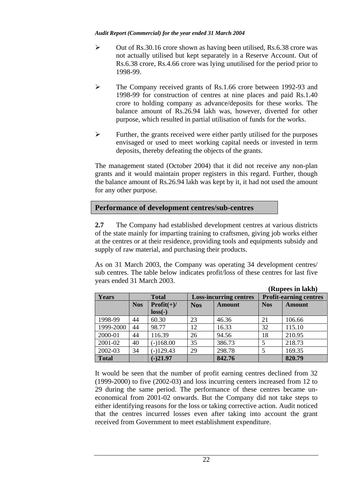- $\triangleright$  Out of Rs.30.16 crore shown as having been utilised, Rs.6.38 crore was not actually utilised but kept separately in a Reserve Account. Out of Rs.6.38 crore, Rs.4.66 crore was lying unutilised for the period prior to 1998-99.
- ¾ The Company received grants of Rs.1.66 crore between 1992-93 and 1998-99 for construction of centres at nine places and paid Rs.1.40 crore to holding company as advance/deposits for these works. The balance amount of Rs.26.94 lakh was, however, diverted for other purpose, which resulted in partial utilisation of funds for the works.
- $\triangleright$  Further, the grants received were either partly utilised for the purposes envisaged or used to meet working capital needs or invested in term deposits, thereby defeating the objects of the grants.

The management stated (October 2004) that it did not receive any non-plan grants and it would maintain proper registers in this regard. Further, though the balance amount of Rs.26.94 lakh was kept by it, it had not used the amount for any other purpose.

# **Performance of development centres/sub-centres**

**2.7** The Company had established development centres at various districts of the state mainly for imparting training to craftsmen, giving job works either at the centres or at their residence, providing tools and equipments subsidy and supply of raw material, and purchasing their products.

As on 31 March 2003, the Company was operating 34 development centres/ sub centres. The table below indicates profit/loss of these centres for last five years ended 31 March 2003.

| (Rupees in lakh) |            |              |            |                               |            |                               |
|------------------|------------|--------------|------------|-------------------------------|------------|-------------------------------|
| <b>Years</b>     |            | <b>Total</b> |            | <b>Loss-incurring centres</b> |            | <b>Profit-earning centres</b> |
|                  | <b>Nos</b> | $Profit(+)/$ | <b>Nos</b> | <b>Amount</b>                 | <b>Nos</b> | <b>Amount</b>                 |
|                  |            | $loss(-)$    |            |                               |            |                               |
| 1998-99          | 44         | 60.30        | 23         | 46.36                         | 21         | 106.66                        |
| 1999-2000        | 44         | 98.77        | 12         | 16.33                         | 32         | 115.10                        |
| 2000-01          | 44         | 116.39       | 26         | 94.56                         | 18         | 210.95                        |
| 2001-02          | 40         | $(-)168.00$  | 35         | 386.73                        | 5          | 218.73                        |
| 2002-03          | 34         | $(-)129.43$  | 29         | 298.78                        | 5          | 169.35                        |
| <b>Total</b>     |            | $(-)21.97$   |            | 842.76                        |            | 820.79                        |

It would be seen that the number of profit earning centres declined from 32 (1999-2000) to five (2002-03) and loss incurring centers increased from 12 to 29 during the same period. The performance of these centres became uneconomical from 2001-02 onwards. But the Company did not take steps to either identifying reasons for the loss or taking corrective action. Audit noticed that the centres incurred losses even after taking into account the grant received from Government to meet establishment expenditure.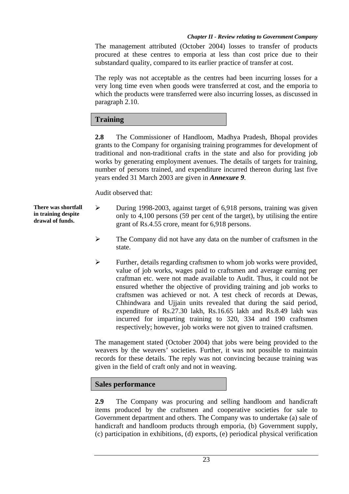The management attributed (October 2004) losses to transfer of products procured at these centres to emporia at less than cost price due to their substandard quality, compared to its earlier practice of transfer at cost.

The reply was not acceptable as the centres had been incurring losses for a very long time even when goods were transferred at cost, and the emporia to which the products were transferred were also incurring losses, as discussed in paragraph 2.10.

# **Training**

**2.8** The Commissioner of Handloom, Madhya Pradesh, Bhopal provides grants to the Company for organising training programmes for development of traditional and non-traditional crafts in the state and also for providing job works by generating employment avenues. The details of targets for training, number of persons trained, and expenditure incurred thereon during last five years ended 31 March 2003 are given in *Annexure 9*.

Audit observed that:

- ¾ During 1998-2003, against target of 6,918 persons, training was given only to 4,100 persons (59 per cent of the target), by utilising the entire grant of Rs.4.55 crore, meant for 6,918 persons.
	- ¾ The Company did not have any data on the number of craftsmen in the state.
	- ¾ Further, details regarding craftsmen to whom job works were provided, value of job works, wages paid to craftsmen and average earning per craftman etc. were not made available to Audit. Thus, it could not be ensured whether the objective of providing training and job works to craftsmen was achieved or not. A test check of records at Dewas, Chhindwara and Ujjain units revealed that during the said period, expenditure of Rs.27.30 lakh, Rs.16.65 lakh and Rs.8.49 lakh was incurred for imparting training to 320, 334 and 190 craftsmen respectively; however, job works were not given to trained craftsmen.

The management stated (October 2004) that jobs were being provided to the weavers by the weavers' societies. Further, it was not possible to maintain records for these details. The reply was not convincing because training was given in the field of craft only and not in weaving.

# **Sales performance**

**2.9** The Company was procuring and selling handloom and handicraft items produced by the craftsmen and cooperative societies for sale to Government department and others. The Company was to undertake (a) sale of handicraft and handloom products through emporia, (b) Government supply, (c) participation in exhibitions, (d) exports, (e) periodical physical verification

**There was shortfall in training despite drawal of funds.**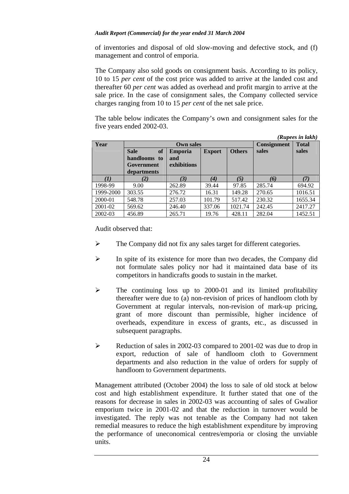of inventories and disposal of old slow-moving and defective stock, and (f) management and control of emporia.

The Company also sold goods on consignment basis. According to its policy, 10 to 15 *per cent* of the cost price was added to arrive at the landed cost and thereafter 60 *per cent* was added as overhead and profit margin to arrive at the sale price. In the case of consignment sales, the Company collected service charges ranging from 10 to 15 *per cent* of the net sale price.

The table below indicates the Company's own and consignment sales for the five years ended 2002-03.

*(Rupees in lakh)* 

|           |                                                                |                                      |               | (Kupees in шкп) |        |         |
|-----------|----------------------------------------------------------------|--------------------------------------|---------------|-----------------|--------|---------|
| Year      |                                                                | Consignment                          | <b>Total</b>  |                 |        |         |
|           | of<br><b>Sale</b><br>handlooms to<br>Government<br>departments | <b>Emporia</b><br>and<br>exhibitions | <b>Export</b> | <b>Others</b>   | sales  | sales   |
|           | $\bf{2)}$                                                      | (3)                                  | $\bf(4)$      | (5)             | (6)    | (7)     |
| 1998-99   | 9.00                                                           | 262.89                               | 39.44         | 97.85           | 285.74 | 694.92  |
| 1999-2000 | 303.55                                                         | 276.72                               | 16.31         | 149.28          | 270.65 | 1016.51 |
| 2000-01   | 548.78                                                         | 257.03                               | 101.79        | 517.42          | 230.32 | 1655.34 |
| 2001-02   | 569.62                                                         | 246.40                               | 337.06        | 1021.74         | 242.45 | 2417.27 |
| 2002-03   | 456.89                                                         | 265.71                               | 19.76         | 428.11          | 282.04 | 1452.51 |

Audit observed that:

- ¾ The Company did not fix any sales target for different categories.
- ¾ In spite of its existence for more than two decades, the Company did not formulate sales policy nor had it maintained data base of its competitors in handicrafts goods to sustain in the market.
- $\triangleright$  The continuing loss up to 2000-01 and its limited profitability thereafter were due to (a) non-revision of prices of handloom cloth by Government at regular intervals, non-revision of mark-up pricing, grant of more discount than permissible, higher incidence of overheads, expenditure in excess of grants, etc., as discussed in subsequent paragraphs.
- $\triangleright$  Reduction of sales in 2002-03 compared to 2001-02 was due to drop in export, reduction of sale of handloom cloth to Government departments and also reduction in the value of orders for supply of handloom to Government departments.

Management attributed (October 2004) the loss to sale of old stock at below cost and high establishment expenditure. It further stated that one of the reasons for decrease in sales in 2002-03 was accounting of sales of Gwalior emporium twice in 2001-02 and that the reduction in turnover would be investigated. The reply was not tenable as the Company had not taken remedial measures to reduce the high establishment expenditure by improving the performance of uneconomical centres/emporia or closing the unviable units.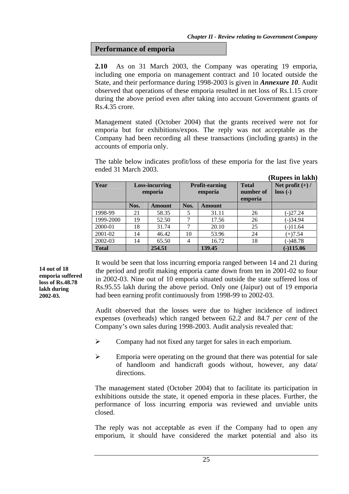**Performance of emporia** 

**2.10** As on 31 March 2003, the Company was operating 19 emporia, including one emporia on management contract and 10 located outside the State, and their performance during 1998-2003 is given in *Annexure 10*. Audit observed that operations of these emporia resulted in net loss of Rs.1.15 crore during the above period even after taking into account Government grants of Rs.4.35 crore.

Management stated (October 2004) that the grants received were not for emporia but for exhibitions/expos. The reply was not acceptable as the Company had been recording all these transactions (including grants) in the accounts of emporia only.

The table below indicates profit/loss of these emporia for the last five years ended 31 March 2003.

|              |      |                                  |            |                                  |                                      | (Rupees in lakh)                |
|--------------|------|----------------------------------|------------|----------------------------------|--------------------------------------|---------------------------------|
| Year         |      | <b>Loss-incurring</b><br>emporia |            | <b>Profit-earning</b><br>emporia | <b>Total</b><br>number of<br>emporia | Net profit $(+)$ /<br>$loss(-)$ |
|              | Nos. | Amount                           | Nos.       | Amount                           |                                      |                                 |
| 1998-99      | 21   | 58.35                            | 5          | 31.11                            | 26                                   | (-)27.24                        |
| 1999-2000    | 19   | 52.50                            | 7          | 17.56                            | 26                                   | $(-)34.94$                      |
| 2000-01      | 18   | 31.74                            | 7          | 20.10                            | 25                                   | $(-)11.64$                      |
| 2001-02      | 14   | 46.42                            | 10         | 53.96                            | 24                                   | $(+)7.54$                       |
| 2002-03      | 14   | 65.50                            | 16.72<br>4 |                                  | 18                                   | $(-)48.78$                      |
| <b>Total</b> |      | 254.51                           |            | 139.45                           |                                      | $(-)115.06$                     |

**14 out of 18 emporia suffered loss of Rs.48.78 lakh during 2002-03.**

It would be seen that loss incurring emporia ranged between 14 and 21 during the period and profit making emporia came down from ten in 2001-02 to four in 2002-03. Nine out of 10 emporia situated outside the state suffered loss of Rs.95.55 lakh during the above period. Only one (Jaipur) out of 19 emporia had been earning profit continuously from 1998-99 to 2002-03.

Audit observed that the losses were due to higher incidence of indirect expenses (overheads) which ranged between 62.2 and 84.7 *per cent* of the Company's own sales during 1998-2003. Audit analysis revealed that:

- ¾ Company had not fixed any target for sales in each emporium.
- $\triangleright$  Emporia were operating on the ground that there was potential for sale of handloom and handicraft goods without, however, any data/ directions.

The management stated (October 2004) that to facilitate its participation in exhibitions outside the state, it opened emporia in these places. Further, the performance of loss incurring emporia was reviewed and unviable units closed.

The reply was not acceptable as even if the Company had to open any emporium, it should have considered the market potential and also its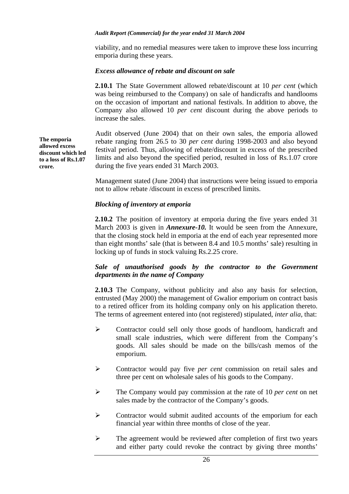viability, and no remedial measures were taken to improve these loss incurring emporia during these years.

## *Excess allowance of rebate and discount on sale*

**2.10.1** The State Government allowed rebate/discount at 10 *per cent* (which was being reimbursed to the Company) on sale of handicrafts and handlooms on the occasion of important and national festivals. In addition to above, the Company also allowed 10 *per cent* discount during the above periods to increase the sales.

Audit observed (June 2004) that on their own sales, the emporia allowed rebate ranging from 26.5 to 30 *per cent* during 1998-2003 and also beyond festival period. Thus, allowing of rebate/discount in excess of the prescribed limits and also beyond the specified period, resulted in loss of Rs.1.07 crore during the five years ended 31 March 2003.

Management stated (June 2004) that instructions were being issued to emporia not to allow rebate /discount in excess of prescribed limits.

## *Blocking of inventory at emporia*

**2.10.2** The position of inventory at emporia during the five years ended 31 March 2003 is given in *Annexure-10.* It would be seen from the Annexure, that the closing stock held in emporia at the end of each year represented more than eight months' sale (that is between 8.4 and 10.5 months' sale) resulting in locking up of funds in stock valuing Rs.2.25 crore.

## *Sale of unauthorised goods by the contractor to the Government departments in the name of Company*

**2.10.3** The Company, without publicity and also any basis for selection, entrusted (May 2000) the management of Gwalior emporium on contract basis to a retired officer from its holding company only on his application thereto. The terms of agreement entered into (not registered) stipulated, *inter alia*, that:

- ¾ Contractor could sell only those goods of handloom, handicraft and small scale industries, which were different from the Company's goods. All sales should be made on the bills/cash memos of the emporium.
- ¾ Contractor would pay five *per cent* commission on retail sales and three per cent on wholesale sales of his goods to the Company.
- ¾ The Company would pay commission at the rate of 10 *per cent* on net sales made by the contractor of the Company's goods.
- ¾ Contractor would submit audited accounts of the emporium for each financial year within three months of close of the year.
- $\triangleright$  The agreement would be reviewed after completion of first two years and either party could revoke the contract by giving three months'

**The emporia allowed excess discount which led to a loss of Rs.1.07 crore.**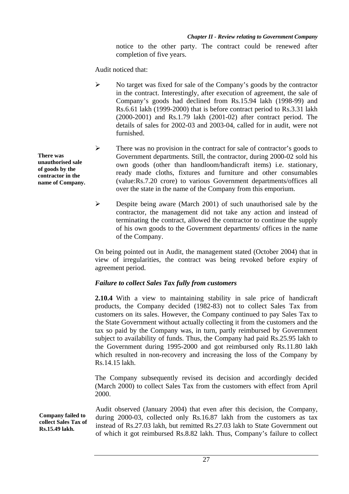notice to the other party. The contract could be renewed after completion of five years.

Audit noticed that:

- ¾ No target was fixed for sale of the Company's goods by the contractor in the contract. Interestingly, after execution of agreement, the sale of Company's goods had declined from Rs.15.94 lakh (1998-99) and Rs.6.61 lakh (1999-2000) that is before contract period to Rs.3.31 lakh (2000-2001) and Rs.1.79 lakh (2001-02) after contract period. The details of sales for 2002-03 and 2003-04, called for in audit, were not furnished.
- ¾ There was no provision in the contract for sale of contractor's goods to Government departments. Still, the contractor, during 2000-02 sold his own goods (other than handloom/handicraft items) i.e. stationary, ready made cloths, fixtures and furniture and other consumables (value:Rs.7.20 crore) to various Government departments/offices all over the state in the name of the Company from this emporium.
- $\triangleright$  Despite being aware (March 2001) of such unauthorised sale by the contractor, the management did not take any action and instead of terminating the contract, allowed the contractor to continue the supply of his own goods to the Government departments/ offices in the name of the Company.

On being pointed out in Audit, the management stated (October 2004) that in view of irregularities, the contract was being revoked before expiry of agreement period.

# *Failure to collect Sales Tax fully from customers*

**2.10.4** With a view to maintaining stability in sale price of handicraft products, the Company decided (1982-83) not to collect Sales Tax from customers on its sales. However, the Company continued to pay Sales Tax to the State Government without actually collecting it from the customers and the tax so paid by the Company was, in turn, partly reimbursed by Government subject to availability of funds. Thus, the Company had paid Rs.25.95 lakh to the Government during 1995-2000 and got reimbursed only Rs.11.80 lakh which resulted in non-recovery and increasing the loss of the Company by Rs.14.15 lakh.

The Company subsequently revised its decision and accordingly decided (March 2000) to collect Sales Tax from the customers with effect from April 2000.

Audit observed (January 2004) that even after this decision, the Company, during 2000-03, collected only Rs.16.87 lakh from the customers as tax instead of Rs.27.03 lakh, but remitted Rs.27.03 lakh to State Government out of which it got reimbursed Rs.8.82 lakh. Thus, Company's failure to collect

**There was unauthorised sale of goods by the contractor in the name of Company.** 

**Company failed to collect Sales Tax of Rs.15.49 lakh.**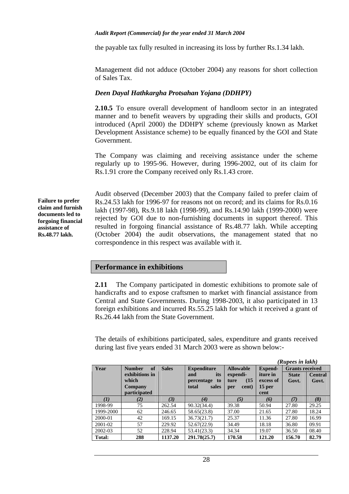the payable tax fully resulted in increasing its loss by further Rs.1.34 lakh.

Management did not adduce (October 2004) any reasons for short collection of Sales Tax.

# *Deen Dayal Hathkargha Protsahan Yojana (DDHPY)*

**2.10.5** To ensure overall development of handloom sector in an integrated manner and to benefit weavers by upgrading their skills and products, GOI introduced (April 2000) the DDHPY scheme (previously known as Market Development Assistance scheme) to be equally financed by the GOI and State Government.

The Company was claiming and receiving assistance under the scheme regularly up to 1995-96. However, during 1996-2002, out of its claim for Rs.1.91 crore the Company received only Rs.1.43 crore.

**Failure to prefer claim and furnish documents led to forgoing financial assistance of Rs.48.77 lakh.** 

Audit observed (December 2003) that the Company failed to prefer claim of Rs.24.53 lakh for 1996-97 for reasons not on record; and its claims for Rs.0.16 lakh (1997-98), Rs.9.18 lakh (1998-99), and Rs.14.90 lakh (1999-2000) were rejected by GOI due to non-furnishing documents in support thereof. This resulted in forgoing financial assistance of Rs.48.77 lakh. While accepting (October 2004) the audit observations, the management stated that no correspondence in this respect was available with it.

# **Performance in exhibitions**

**2.11** The Company participated in domestic exhibitions to promote sale of handicrafts and to expose craftsmen to market with financial assistance from Central and State Governments. During 1998-2003, it also participated in 13 foreign exhibitions and incurred Rs.55.25 lakh for which it received a grant of Rs.26.44 lakh from the State Government.

The details of exhibitions participated, sales, expenditure and grants received during last five years ended 31 March 2003 were as shown below:-

|           |                     |              |                    |                  |                | (Rupees in lakh)       |                |
|-----------|---------------------|--------------|--------------------|------------------|----------------|------------------------|----------------|
| Year      | of<br><b>Number</b> | <b>Sales</b> | <b>Expenditure</b> | <b>Allowable</b> | <b>Expend-</b> | <b>Grants received</b> |                |
|           | exhibitions in      |              | its<br>and         | expendi-         | iture in       | <b>State</b>           | <b>Central</b> |
|           | which               |              | percentage to      | (15)<br>ture     | excess of      | Govt.                  | Govt.          |
|           | Company             |              | total<br>sales     | cent)<br>per     | 15 per         |                        |                |
|           | participated        |              |                    |                  | cent           |                        |                |
| (I)       | (2)                 | (3)          | (4)                | (5)              | (6)            | (7)                    | (8)            |
| 1998-99   | 75                  | 262.54       | 90.32(34.4)        | 39.38            | 50.94          | 27.80                  | 29.25          |
| 1999-2000 | 62                  | 246.65       | 58.65(23.8)        | 37.00            | 21.65          | 27.80                  | 18.24          |
| 2000-01   | 42                  | 169.15       | 36.73(21.7)        | 25.37            | 11.36          | 27.80                  | 16.99          |
| 2001-02   | 57                  | 229.92       | 52.67(22.9)        | 34.49            | 18.18          | 36.80                  | 09.91          |
| 2002-03   | 52                  | 228.94       | 53.41(23.3)        | 34.34            | 19.07          | 36.50                  | 08.40          |
| Total:    | 288                 | 1137.20      | 291.78(25.7)       | 170.58           | 121.20         | 156.70                 | 82.79          |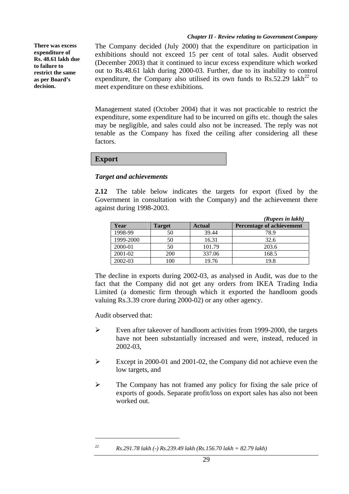**There was excess expenditure of Rs. 48.61 lakh due to failure to restrict the same as per Board's decision.** 

The Company decided (July 2000) that the expenditure on participation in exhibitions should not exceed 15 per cent of total sales. Audit observed (December 2003) that it continued to incur excess expenditure which worked out to Rs.48.61 lakh during 2000-03. Further, due to its inability to control expenditure, the Company also utilised its own funds to  $\text{Rs.}52.29$  lakh<sup>22</sup> to meet expenditure on these exhibitions.

Management stated (October 2004) that it was not practicable to restrict the expenditure, some expenditure had to be incurred on gifts etc. though the sales may be negligible, and sales could also not be increased. The reply was not tenable as the Company has fixed the ceiling after considering all these factors.

## **Export**

## *Target and achievements*

**2.12** The table below indicates the targets for export (fixed by the Government in consultation with the Company) and the achievement there against during 1998-2003.

|           |        |               | (Rupees in lakh)          |
|-----------|--------|---------------|---------------------------|
| Year      | Target | <b>Actual</b> | Percentage of achievement |
| 1998-99   | 50     | 39.44         | 78.9                      |
| 1999-2000 | 50     | 16.31         | 32.6                      |
| 2000-01   | 50     | 101.79        | 203.6                     |
| 2001-02   | 200    | 337.06        | 168.5                     |
| 2002-03   | 100    | 19.76         | 19.8                      |

The decline in exports during 2002-03, as analysed in Audit, was due to the fact that the Company did not get any orders from IKEA Trading India Limited (a domestic firm through which it exported the handloom goods valuing Rs.3.39 crore during 2000-02) or any other agency.

Audit observed that:

 $\overline{a}$ 

- ¾ Even after takeover of handloom activities from 1999-2000, the targets have not been substantially increased and were, instead, reduced in 2002-03,
- ¾ Except in 2000-01 and 2001-02, the Company did not achieve even the low targets, and
- $\triangleright$  The Company has not framed any policy for fixing the sale price of exports of goods. Separate profit/loss on export sales has also not been worked out.

*22 Rs.291.78 lakh (-) Rs.239.49 lakh (Rs.156.70 lakh + 82.79 lakh)*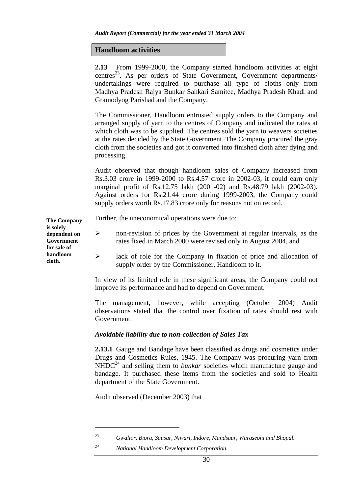### **Handloom activities**

**2.13** From 1999-2000, the Company started handloom activities at eight centres<sup>23</sup>. As per orders of State Government, Government departments/ undertakings were required to purchase all type of cloths only from Madhya Pradesh Rajya Bunkar Sahkari Samitee, Madhya Pradesh Khadi and Gramodyog Parishad and the Company.

The Commissioner, Handloom entrusted supply orders to the Company and arranged supply of yarn to the centres of Company and indicated the rates at which cloth was to be supplied. The centres sold the yarn to weavers societies at the rates decided by the State Government. The Company procured the gray cloth from the societies and got it converted into finished cloth after dying and processing.

Audit observed that though handloom sales of Company increased from Rs.3.03 crore in 1999-2000 to Rs.4.57 crore in 2002-03, it could earn only marginal profit of Rs.12.75 lakh (2001-02) and Rs.48.79 lakh (2002-03). Against orders for Rs.21.44 crore during 1999-2003, the Company could supply orders worth Rs.17.83 crore only for reasons not on record.

Further, the uneconomical operations were due to: **The Company** 

- $\triangleright$  non-revision of prices by the Government at regular intervals, as the rates fixed in March 2000 were revised only in August 2004, and
	- ¾ lack of role for the Company in fixation of price and allocation of supply order by the Commissioner, Handloom to it.

In view of its limited role in these significant areas, the Company could not improve its performance and had to depend on Government.

The management, however, while accepting (October 2004) Audit observations stated that the control over fixation of rates should rest with Government.

### *Avoidable liability due to non-collection of Sales Tax*

**2.13.1** Gauge and Bandage have been classified as drugs and cosmetics under Drugs and Cosmetics Rules, 1945. The Company was procuring yarn from  $NHDC<sup>24</sup>$  and selling them to *bunkar* societies which manufacture gauge and bandage. It purchased these items from the societies and sold to Health department of the State Government.

Audit observed (December 2003) that

 $\overline{a}$ 

**is solely dependent on Government for sale of handloom cloth.** 

*<sup>23</sup> Gwalior, Biora, Sausar, Niwari, Indore, Mandsaur, Waraseoni and Bhopal.* 

*<sup>24</sup> National Handloom Development Corporation.*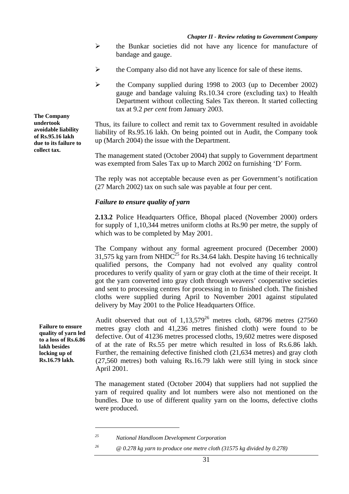- $\triangleright$  the Bunkar societies did not have any licence for manufacture of bandage and gauge.
- $\triangleright$  the Company also did not have any licence for sale of these items.
- ¾ the Company supplied during 1998 to 2003 (up to December 2002) gauge and bandage valuing Rs.10.34 crore (excluding tax) to Health Department without collecting Sales Tax thereon. It started collecting tax at 9.2 *per cent* from January 2003.

Thus, its failure to collect and remit tax to Government resulted in avoidable liability of Rs.95.16 lakh. On being pointed out in Audit, the Company took up (March 2004) the issue with the Department.

The management stated (October 2004) that supply to Government department was exempted from Sales Tax up to March 2002 on furnishing 'D' Form.

The reply was not acceptable because even as per Government's notification (27 March 2002) tax on such sale was payable at four per cent.

#### *Failure to ensure quality of yarn*

**2.13.2** Police Headquarters Office, Bhopal placed (November 2000) orders for supply of 1,10,344 metres uniform cloths at Rs.90 per metre, the supply of which was to be completed by May 2001.

The Company without any formal agreement procured (December 2000) 31,575 kg varn from NHDC<sup>25</sup> for Rs.34.64 lakh. Despite having 16 technically qualified persons, the Company had not evolved any quality control procedures to verify quality of yarn or gray cloth at the time of their receipt. It got the yarn converted into gray cloth through weavers' cooperative societies and sent to processing centres for processing in to finished cloth. The finished cloths were supplied during April to November 2001 against stipulated delivery by May 2001 to the Police Headquarters Office.

Audit observed that out of  $1.13,579^{26}$  metres cloth, 68796 metres (27560) metres gray cloth and 41,236 metres finished cloth) were found to be defective. Out of 41236 metres processed cloths, 19,602 metres were disposed of at the rate of Rs.55 per metre which resulted in loss of Rs.6.86 lakh. Further, the remaining defective finished cloth (21,634 metres) and gray cloth (27,560 metres) both valuing Rs.16.79 lakh were still lying in stock since April 2001.

The management stated (October 2004) that suppliers had not supplied the yarn of required quality and lot numbers were also not mentioned on the bundles. Due to use of different quality yarn on the looms, defective cloths were produced.

**The Company undertook avoidable liability of Rs.95.16 lakh due to its failure to collect tax.** 

> **Failure to ensure quality of yarn led to a loss of Rs.6.86 lakh besides locking up of Rs.16.79 lakh.**

> > $\overline{a}$

*<sup>25</sup> National Handloom Development Corporation* 

*<sup>26 @ 0.278</sup> kg yarn to produce one metre cloth (31575 kg divided by 0.278)*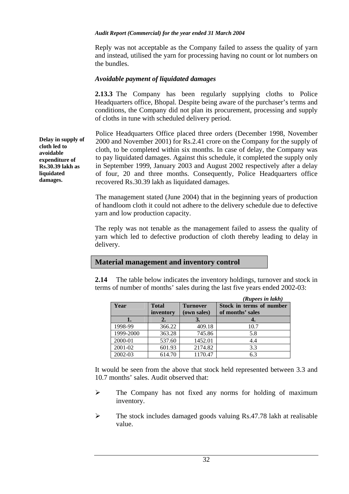Reply was not acceptable as the Company failed to assess the quality of yarn and instead, utilised the yarn for processing having no count or lot numbers on the bundles.

## *Avoidable payment of liquidated damages*

**2.13.3** The Company has been regularly supplying cloths to Police Headquarters office, Bhopal. Despite being aware of the purchaser's terms and conditions, the Company did not plan its procurement, processing and supply of cloths in tune with scheduled delivery period.

Police Headquarters Office placed three orders (December 1998, November 2000 and November 2001) for Rs.2.41 crore on the Company for the supply of cloth, to be completed within six months. In case of delay, the Company was to pay liquidated damages. Against this schedule, it completed the supply only in September 1999, January 2003 and August 2002 respectively after a delay of four, 20 and three months. Consequently, Police Headquarters office recovered Rs.30.39 lakh as liquidated damages.

The management stated (June 2004) that in the beginning years of production of handloom cloth it could not adhere to the delivery schedule due to defective yarn and low production capacity.

The reply was not tenable as the management failed to assess the quality of yarn which led to defective production of cloth thereby leading to delay in delivery.

# **Material management and inventory control**

**2.14** The table below indicates the inventory holdings, turnover and stock in terms of number of months' sales during the last five years ended 2002-03:

|           |              |                 | (Rupees in lakh)         |
|-----------|--------------|-----------------|--------------------------|
| Year      | <b>Total</b> | <b>Turnover</b> | Stock in terms of number |
|           | inventory    | (own sales)     | of months' sales         |
|           |              | 3.              |                          |
| 1998-99   | 366.22       | 409.18          | 10.7                     |
| 1999-2000 | 363.28       | 745.86          | 5.8                      |
| 2000-01   | 537.60       | 1452.01         | 4.4                      |
| 2001-02   | 601.93       | 2174.82         | 3.3                      |
| 2002-03   | 614.70       | 1170.47         | 6.3                      |

It would be seen from the above that stock held represented between 3.3 and 10.7 months' sales. Audit observed that:

- $\triangleright$  The Company has not fixed any norms for holding of maximum inventory.
- $\triangleright$  The stock includes damaged goods valuing Rs.47.78 lakh at realisable value.

**Delay in supply of cloth led to avoidable expenditure of Rs.30.39 lakh as liquidated damages.**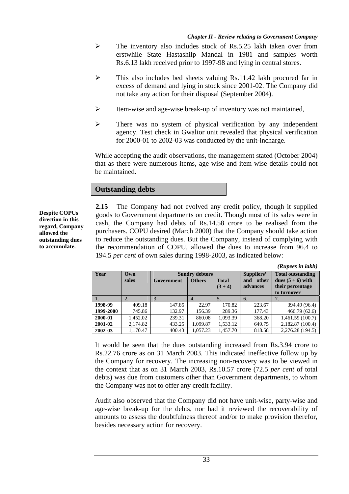- $\triangleright$  The inventory also includes stock of Rs.5.25 lakh taken over from erstwhile State Hastashilp Mandal in 1981 and samples worth Rs.6.13 lakh received prior to 1997-98 and lying in central stores.
- ¾ This also includes bed sheets valuing Rs.11.42 lakh procured far in excess of demand and lying in stock since 2001-02. The Company did not take any action for their disposal (September 2004).
- ¾ Item-wise and age-wise break-up of inventory was not maintained,
- $\triangleright$  There was no system of physical verification by any independent agency. Test check in Gwalior unit revealed that physical verification for 2000-01 to 2002-03 was conducted by the unit-incharge.

While accepting the audit observations, the management stated (October 2004) that as there were numerous items, age-wise and item-wise details could not be maintained.

## **Outstanding debts**

**Despite COPUs direction in this regard, Company allowed the outstanding dues to accumulate.** 

**2.15** The Company had not evolved any credit policy, though it supplied goods to Government departments on credit. Though most of its sales were in cash, the Company had debts of Rs.14.58 crore to be realised from the purchasers. COPU desired (March 2000) that the Company should take action to reduce the outstanding dues. But the Company, instead of complying with the recommendation of COPU, allowed the dues to increase from 96.4 to 194.5 *per cent* of own sales during 1998-2003, as indicated below:

|           |                  |            |                       |              |              | (Rupees in lakh)         |
|-----------|------------------|------------|-----------------------|--------------|--------------|--------------------------|
| Year      | Own              |            | <b>Sundry debtors</b> |              | Suppliers'   | <b>Total outstanding</b> |
|           | sales            | Government | <b>Others</b>         | <b>Total</b> | and<br>other | dues $(5 + 6)$ with      |
|           |                  |            |                       | $(3 + 4)$    | advances     | their percentage         |
|           |                  |            |                       |              |              | to turnover              |
|           | $\overline{2}$ . | 3.         | 4.                    | 5.           | 6.           |                          |
| 1998-99   | 409.18           | 147.85     | 22.97                 | 170.82       | 223.67       | 394.49 (96.4)            |
| 1999-2000 | 745.86           | 132.97     | 156.39                | 289.36       | 177.43       | 466.79(62.6)             |
| 2000-01   | 1,452.02         | 239.31     | 860.08                | 1,093.39     | 368.20       | 1,461.59(100.7)          |
| 2001-02   | 2,174.82         | 433.25     | 1.099.87              | 1.533.12     | 649.75       | 2,182.87 (100.4)         |
| 2002-03   | 1.170.47         | 400.43     | 1.057.23              | 1.457.70     | 818.58       | 2,276.28 (194.5)         |

It would be seen that the dues outstanding increased from Rs.3.94 crore to Rs.22.76 crore as on 31 March 2003. This indicated ineffective follow up by the Company for recovery. The increasing non-recovery was to be viewed in the context that as on 31 March 2003, Rs.10.57 crore (72.5 *per cent* of total debts) was due from customers other than Government departments, to whom the Company was not to offer any credit facility.

Audit also observed that the Company did not have unit-wise, party-wise and age-wise break-up for the debts, nor had it reviewed the recoverability of amounts to assess the doubtfulness thereof and/or to make provision therefor, besides necessary action for recovery.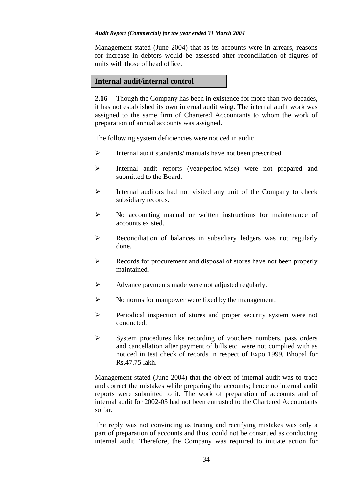Management stated (June 2004) that as its accounts were in arrears, reasons for increase in debtors would be assessed after reconciliation of figures of units with those of head office.

# **Internal audit/internal control**

**2.16** Though the Company has been in existence for more than two decades, it has not established its own internal audit wing. The internal audit work was assigned to the same firm of Chartered Accountants to whom the work of preparation of annual accounts was assigned.

The following system deficiencies were noticed in audit:

- ¾ Internal audit standards/ manuals have not been prescribed.
- ¾ Internal audit reports (year/period-wise) were not prepared and submitted to the Board.
- ¾ Internal auditors had not visited any unit of the Company to check subsidiary records.
- ¾ No accounting manual or written instructions for maintenance of accounts existed.
- ¾ Reconciliation of balances in subsidiary ledgers was not regularly done.
- ¾ Records for procurement and disposal of stores have not been properly maintained.
- ¾ Advance payments made were not adjusted regularly.
- $\triangleright$  No norms for manpower were fixed by the management.
- ¾ Periodical inspection of stores and proper security system were not conducted.
- $\triangleright$  System procedures like recording of vouchers numbers, pass orders and cancellation after payment of bills etc. were not complied with as noticed in test check of records in respect of Expo 1999, Bhopal for Rs.47.75 lakh.

Management stated (June 2004) that the object of internal audit was to trace and correct the mistakes while preparing the accounts; hence no internal audit reports were submitted to it. The work of preparation of accounts and of internal audit for 2002-03 had not been entrusted to the Chartered Accountants so far.

The reply was not convincing as tracing and rectifying mistakes was only a part of preparation of accounts and thus, could not be construed as conducting internal audit. Therefore, the Company was required to initiate action for